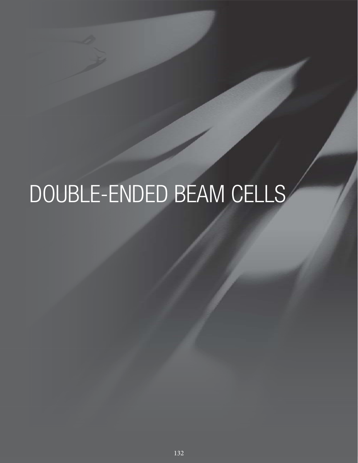# DOUBLE-ENDED BEAM CELLS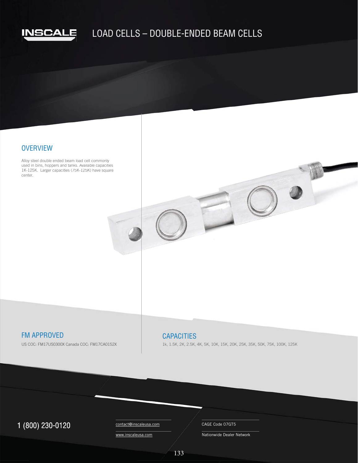

# LOAD CELLS – DOUBLE-ENDED BEAM CELLS

## **OVERVIEW**

Alloy steel double ended beam load cell commonly used in bins, hoppers and tanks. Available capacities used in bins, hoppers and tanks. Available capacities<br>1K-125K. Larger capacities (75K-125K) have square center.

# FM APPROVED **CAPACITIES**

US COC: FM17US0300X Canada COC: FM17CA0152X

1k, 1.5K, 2K, 2.5K, 4K, 5K, 10K, 15K, 20K, 25K, 35K, 50K, 75K, 100K, 125K

# $1 (800) 230-0120$  Contact@inscaleusa.com CAGE Code 07GT5

contact@inscaleusa.com www.inscaleusa.com

Nationwide Dealer Network

133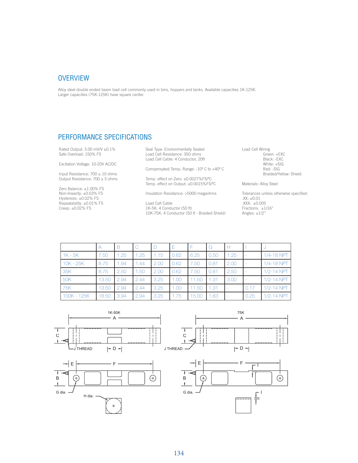#### **OVERVIEW**

Alloy steel double ended beam load cell commonly used in bins, hoppers and tanks. Available capacities 1K-125K. Larger capacities (75K-125K) have square center.

### PERFORMANCE SPECIFICATIONS

Rated Output: 3.00 mV/V ±0.1% Safe Overload: 150% FS

Excitation Voltage: 10-20V AC/DC

Input Resistance:  $700 \pm 10$  ohms Output Resistance:  $700 \pm 5$  ohms

Zero Balance: ±1.00% FS Non-linearity: ±0.03% FS Hysteresis: ±0.02% FS Repeatability: ±0.01% FS Creep: ±0.02% FS

Seal Type: Environmentally Sealed Load Cell Resistance: 350 ohms Load Cell Cable: 4 Conductor, 20ft

Compensated Temp. Range: -10º C to +40º C

Temp. effect on Zero: ±0.0027%FS/ºC Temp. effect on Output: ±0.0015%FS/ºC

Insulation Resistance: >5000 megaohms

Load Cell Cable 1K-5K: 4 Conductor (50 ft) 10K-75K: 4 Conductor (50 ft - Braided Shield) Load Cell Wiring Green: +EXC Black: -EXC White: +SIG Red: -SIG Braided/Yellow: Shield

Materials: Alloy Steel

Tolerances unless otherwise specified: .XX: ±0.01 .XXX: ±0.005 Fractions: ±1/16" Angles: ±1/2"

|             | А     | В    | C    | Ð    |      |       | G    |      |      | J.             |
|-------------|-------|------|------|------|------|-------|------|------|------|----------------|
| $1K - 5K$   | 7.50  | 1.25 | 1.25 | 1.15 | 0.62 | 6.25  | 0.50 | 1.25 |      | 1/4-18 NPT     |
| 10K - 25K   | 8.75  | 1.94 | 1.44 | 2.00 | 0.62 | 7.50  | 0.81 | 2.00 |      | 1/4-18 NPT     |
| 35K         | 8.75  | 2.50 | 1.50 | 2.00 | 0.62 | 7.50  | 0.81 | 2.50 |      | 1/2-14 NPT     |
| <b>50K</b>  | 13.50 | 2.94 | 2.44 | 3.25 | 1.00 | 11.50 | 1.31 | 3.00 |      | $1/2 - 14$ NPT |
| 75K         | 13.50 | 2.94 | 2.44 | 3.25 | 1.00 | 11.50 | 1.31 |      | 0.17 | $1/2 - 14$ NPT |
| 100K - 125K | 18.50 | 3.94 | 2.94 | 3.25 | .75  | 15.00 | 1.63 |      | 0.25 | $1/2 - 14$ NPT |